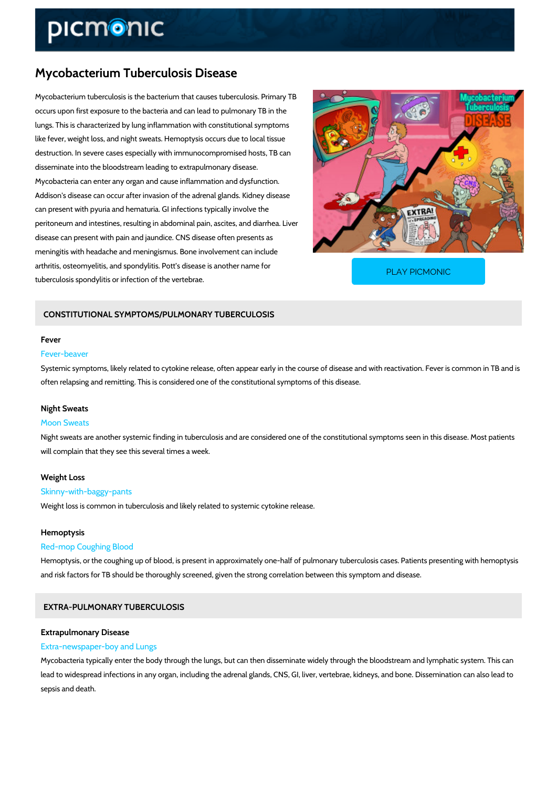# Mycobacterium Tuberculosis Disease

Mycobacterium tuberculosis is the bacterium that causes tuberculosis. Primary TB occurs upon first exposure to the bacteria and can lead to pulmonary TB in the lungs. This is characterized by lung inflammation with constitutional symptoms like fever, weight loss, and night sweats. Hemoptysis occurs due to local tissue destruction. In severe cases especially with immunocompromised hosts, TB can disseminate into the bloodstream leading to extrapulmonary disease. Mycobacteria can enter any organ and cause inflammation and dysfunction. Addison's disease can occur after invasion of the adrenal glands. Kidney disease can present with pyuria and hematuria. GI infections typically involve the peritoneum and intestines, resulting in abdominal pain, ascites, and diarrhea. Liver disease can present with pain and jaundice. CNS disease often presents as meningitis with headache and meningismus. Bone involvement can include arthritis, osteomyelitis, and spondylitis. Pott s disease is tuberculosis spondylitis or infection of the vertebrae. [PLAY PICMONIC](https://www.picmonic.com/learn/mycobacterium-tuberculosis-disease_7212?utm_source=downloadable_content&utm_medium=distributedcontent&utm_campaign=pathways_pdf&utm_content=Mycobacterium Tuberculosis Disease&utm_ad_group=leads&utm_market=all)

## CONSTITUTIONAL SYMPTOMS/PULMONARY TUBERCULOSIS

#### Fever

#### Fever-beaver

Systemic symptoms, likely related to cytokine release, often appear early in the course of dis often relapsing and remitting. This is considered one of the constitutional symptoms of this d

### Night Sweats

#### Moon Sweats

Night sweats are another systemic finding in tuberculosis and are considered one of the const will complain that they see this several times a week.

#### Weight Loss

## Skinny-with-baggy-pants

Weight loss is common in tuberculosis and likely related to systemic cytokine release.

#### Hemoptysis

## Red-mop Coughing Blood

Hemoptysis, or the coughing up of blood, is present in approximately one-half of pulmonary tu and risk factors for TB should be thoroughly screened, given the strong correlation between the

## EXTRA-PULMONARY TUBERCULOSIS

## Extrapulmonary Disease Extra-newspaper-boy and Lungs

Mycobacteria typically enter the body through the lungs, but can then disseminate widely thro lead to widespread infections in any organ, including the adrenal glands, CNS, GI, liver, verte sepsis and death.